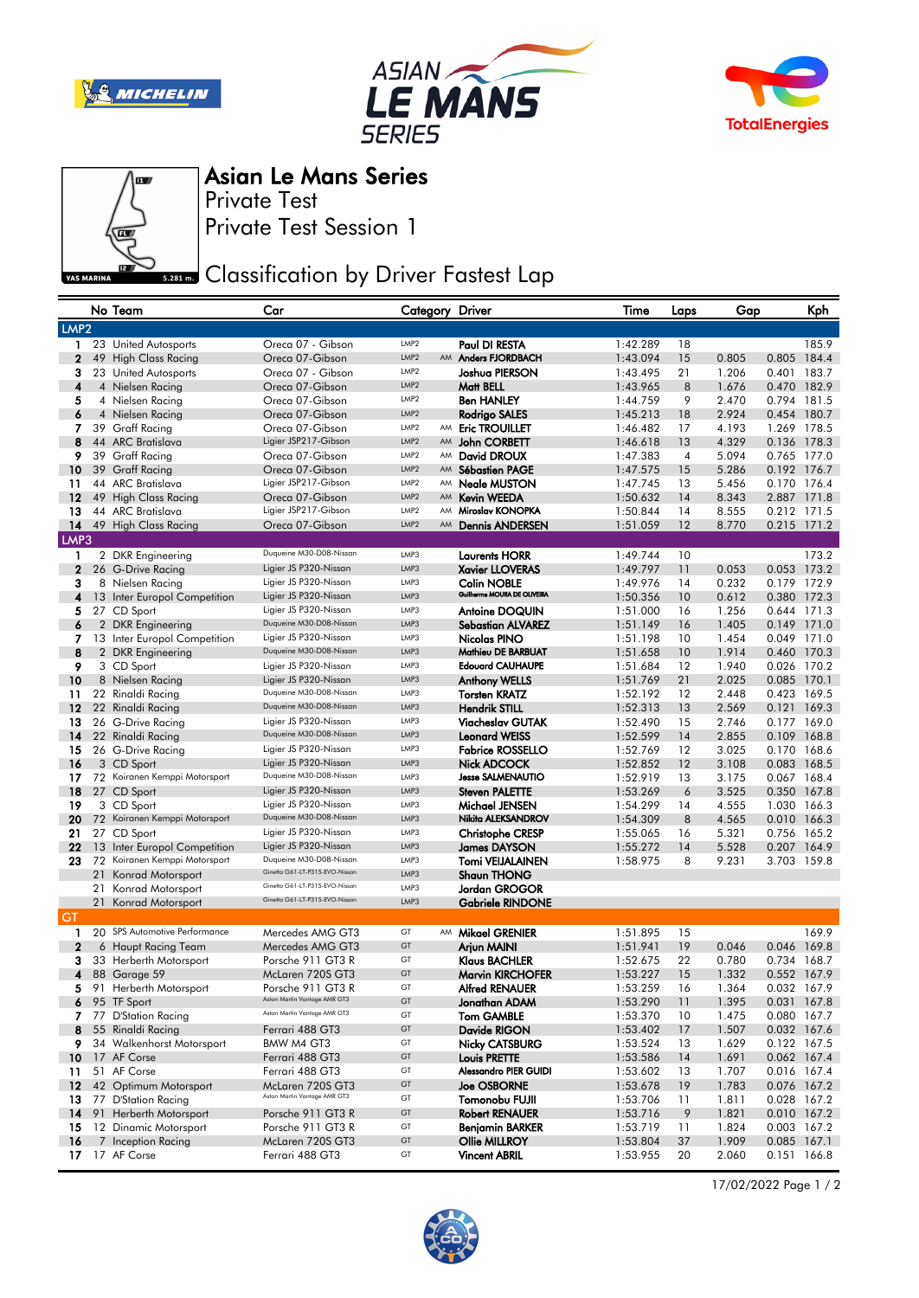







## Asian Le Mans Series

Private Test

Private Test Session 1

## **Classification by Driver Fastest Lap**

|              |      | No Team                                      | Car                                              | Category Driver                      |    |                                              | Time                 | Laps     | Gap            |                            | Kph   |
|--------------|------|----------------------------------------------|--------------------------------------------------|--------------------------------------|----|----------------------------------------------|----------------------|----------|----------------|----------------------------|-------|
|              | LMP2 |                                              |                                                  |                                      |    |                                              |                      |          |                |                            |       |
| 1            |      | 23 United Autosports                         | Oreca 07 - Gibson                                | LMP <sub>2</sub>                     |    | Paul DI RESTA                                | 1:42.289             | 18       |                |                            | 185.9 |
| $\mathbf 2$  |      | 49 High Class Racing                         | Oreca 07-Gibson                                  | LMP <sub>2</sub>                     |    | AM Anders FJORDBACH                          | 1:43.094             | 15       | 0.805          | 0.805 184.4                |       |
| 3            |      | 23 United Autosports                         | Oreca 07 - Gibson                                | LMP <sub>2</sub>                     |    | Joshua PIERSON                               | 1:43.495             | 21       | 1.206          | 0.401 183.7                |       |
| 4            |      | 4 Nielsen Racing                             | Oreca 07-Gibson                                  | LMP <sub>2</sub>                     |    | Matt BELL                                    | 1:43.965             | 8        | 1.676          | 0.470 182.9                |       |
| 5            |      | 4 Nielsen Racing                             | Oreca 07-Gibson                                  | LMP <sub>2</sub>                     |    | <b>Ben HANLEY</b>                            | 1:44.759             | 9        | 2.470          | 0.794 181.5                |       |
| 6            |      | 4 Nielsen Racing                             | Oreca 07-Gibson                                  | LMP <sub>2</sub>                     |    | Rodrigo SALES                                | 1:45.213             | 18       | 2.924          | 0.454 180.7                |       |
| 7            |      | 39 Graff Racing                              | Oreca 07-Gibson                                  | LMP <sub>2</sub><br>LMP <sub>2</sub> |    | AM Eric TROUILLET                            | 1:46.482             | 17       | 4.193          | 1.269 178.5                |       |
| 8<br>9       |      | 44 ARC Bratislava                            | Ligier JSP217-Gibson<br>Oreca 07-Gibson          | LMP <sub>2</sub>                     |    | AM John CORBETT                              | 1:46.618             | 13       | 4.329          | 0.136 178.3                |       |
| 10           |      | 39 Graff Racing<br>39 Graff Racing           | Oreca 07-Gibson                                  | LMP <sub>2</sub>                     |    | AM David DROUX<br>AM Sébastien PAGE          | 1:47.383<br>1:47.575 | 4<br>15  | 5.094<br>5.286 | 0.765 177.0<br>0.192 176.7 |       |
| 11           |      | 44 ARC Bratislava                            | Ligier JSP217-Gibson                             | LMP <sub>2</sub>                     | AM | Neale MUSTON                                 | 1:47.745             | 13       | 5.456          | 0.170 176.4                |       |
| 12           |      | 49 High Class Racing                         | Oreca 07-Gibson                                  | LMP <sub>2</sub>                     | AM | <b>Kevin WEEDA</b>                           | 1:50.632             | 14       | 8.343          | 2.887 171.8                |       |
| 13           |      | 44 ARC Bratislava                            | Ligier JSP217-Gibson                             | LMP <sub>2</sub>                     |    | AM Miroslav KONOPKA                          | 1:50.844             | 14       | 8.555          | 0.212 171.5                |       |
| 14           |      | 49 High Class Racing                         | Oreca 07-Gibson                                  | LMP <sub>2</sub>                     |    | AM Dennis ANDERSEN                           | 1:51.059             | 12       | 8.770          | 0.215 171.2                |       |
| LMP3         |      |                                              |                                                  |                                      |    |                                              |                      |          |                |                            |       |
| 1            |      | 2 DKR Engineering                            | Duqueine M30-D08-Nissan                          | LMP3                                 |    | <b>Laurents HORR</b>                         | 1:49.744             | 10       |                |                            | 173.2 |
| 2            |      | 26 G-Drive Racing                            | Ligier JS P320-Nissan                            | LMP3                                 |    | <b>Xavier LLOVERAS</b>                       | 1:49.797             | 11       | 0.053          | 0.053 173.2                |       |
| 3            |      | 8 Nielsen Racing                             | Ligier JS P320-Nissan                            | LMP3                                 |    | Colin NOBLE                                  | 1:49.976             | 14       | 0.232          | 0.179 172.9                |       |
| 4            |      | 13 Inter Europol Competition                 | Ligier JS P320-Nissan                            | LMP3                                 |    | Guilherme MOURA DE OLIVEIRA                  | 1:50.356             | 10       | 0.612          | 0.380 172.3                |       |
| 5            |      | 27 CD Sport                                  | Ligier JS P320-Nissan                            | LMP3                                 |    | <b>Antoine DOQUIN</b>                        | 1:51.000             | 16       | 1.256          | 0.644 171.3                |       |
| 6            |      | 2 DKR Engineering                            | Duqueine M30-D08-Nissan                          | LMP3                                 |    | <b>Sebastian ALVAREZ</b>                     | 1:51.149             | 16       | 1.405          | 0.149 171.0                |       |
| 7            |      | 13 Inter Europol Competition                 | Ligier JS P320-Nissan                            | LMP3                                 |    | Nicolas PINO                                 | 1:51.198             | 10       | 1.454          | 0.049 171.0                |       |
| 8            |      | 2 DKR Engineering                            | Duqueine M30-D08-Nissan                          | LMP3                                 |    | Mathieu DE BARBUAT                           | 1:51.658             | 10       | 1.914          | 0.460 170.3                |       |
| 9            |      | 3 CD Sport                                   | Ligier JS P320-Nissan<br>Ligier JS P320-Nissan   | LMP3<br>LMP3                         |    | <b>Edouard CAUHAUPE</b>                      | 1:51.684             | 12       | 1.940          | 0.026 170.2                |       |
| 10<br>11     |      | 8 Nielsen Racing                             | Duqueine M30-D08-Nissan                          | LMP3                                 |    | <b>Anthony WELLS</b><br><b>Torsten KRATZ</b> | 1:51.769<br>1:52.192 | 21<br>12 | 2.025<br>2.448 | 0.085 170.1<br>0.423 169.5 |       |
| $12 \,$      |      | 22 Rinaldi Racing<br>22 Rinaldi Racing       | Duqueine M30-D08-Nissan                          | LMP3                                 |    | Hendrik STILL                                | 1:52.313             | 13       | 2.569          | 0.121 169.3                |       |
| 13           |      | 26 G-Drive Racing                            | Ligier JS P320-Nissan                            | LMP3                                 |    | Viacheslav GUTAK                             | 1:52.490             | 15       | 2.746          | 0.177 169.0                |       |
| 14           |      | 22 Rinaldi Racing                            | Duqueine M30-D08-Nissan                          | LMP3                                 |    | Leonard WEISS                                | 1:52.599             | 14       | 2.855          | 0.109 168.8                |       |
| 15           |      | 26 G-Drive Racing                            | Ligier JS P320-Nissan                            | LMP3                                 |    | <b>Fabrice ROSSELLO</b>                      | 1:52.769             | 12       | 3.025          | 0.170 168.6                |       |
| 16           |      | 3 CD Sport                                   | Ligier JS P320-Nissan                            | LMP3                                 |    | Nick ADCOCK                                  | 1:52.852             | 12       | 3.108          | 0.083 168.5                |       |
| 17           |      | 72 Koiranen Kemppi Motorsport                | Duqueine M30-D08-Nissan                          | LMP3                                 |    | Jesse SALMENAUTIO                            | 1:52.919             | 13       | 3.175          | 0.067 168.4                |       |
| 18           |      | 27 CD Sport                                  | Ligier JS P320-Nissan                            | LMP3                                 |    | <b>Steven PALETTE</b>                        | 1:53.269             | 6        | 3.525          | 0.350 167.8                |       |
| 19           |      | 3 CD Sport                                   | Ligier JS P320-Nissan                            | LMP3                                 |    | Michael JENSEN                               | 1:54.299             | 14       | 4.555          | 1.030 166.3                |       |
| 20           |      | 72 Koiranen Kemppi Motorsport                | Duqueine M30-D08-Nissan                          | LMP3                                 |    | Nikita ALEKSANDROV                           | 1:54.309             | 8        | 4.565          | 0.010 166.3                |       |
| 21           |      | 27 CD Sport                                  | Ligier JS P320-Nissan                            | LMP3                                 |    | <b>Christophe CRESP</b>                      | 1:55.065             | 16       | 5.321          | 0.756 165.2                |       |
| 22           |      | 13 Inter Europol Competition                 | Ligier JS P320-Nissan<br>Duqueine M30-D08-Nissan | LMP3                                 |    | James DAYSON                                 | 1:55.272             | 14       | 5.528          | 0.207 164.9                |       |
| 23           | 72   | Koiranen Kemppi Motorsport                   | Ginetta G61-LT-P315-EVO-Nissan                   | LMP3<br>LMP3                         |    | Tomi VEIJALAINEN                             | 1:58.975             | 8        | 9.231          | 3.703 159.8                |       |
|              |      | 21 Konrad Motorsport<br>21 Konrad Motorsport | Ginetta G61-LT-P315-EVO-Nissan                   | LMP3                                 |    | <b>Shaun THONG</b><br>Jordan GROGOR          |                      |          |                |                            |       |
|              |      | 21 Konrad Motorsport                         | Ginetta G61-LT-P315-EVO-Nissan                   | LMP3                                 |    | Gabriele RINDONE                             |                      |          |                |                            |       |
| GT           |      |                                              |                                                  |                                      |    |                                              |                      |          |                |                            |       |
| $\mathbf{1}$ |      | 20 SPS Automotive Performance                | Mercedes AMG GT3                                 | GT                                   |    | AM Mikael GRENIER                            | 1:51.895             | 15       |                |                            | 169.9 |
| 2            |      | 6 Haupt Racing Team                          | Mercedes AMG GT3                                 | GT                                   |    | Arjun MAINI                                  | 1:51.941             | 19       | 0.046          | 0.046 169.8                |       |
| з            |      | 33 Herberth Motorsport                       | Porsche 911 GT3 R                                | GT                                   |    | Klaus BACHLER                                | 1:52.675             | 22       | 0.780          | 0.734 168.7                |       |
| 4            |      | 88 Garage 59                                 | McLaren 720S GT3                                 | GT                                   |    | Marvin KIRCHOFER                             | 1:53.227             | 15       | 1.332          | 0.552 167.9                |       |
| 5            |      | 91 Herberth Motorsport                       | Porsche 911 GT3 R                                | GT                                   |    | Alfred RENAUER                               | 1:53.259             | 16       | 1.364          | 0.032 167.9                |       |
|              |      | $6$ 95 TF Sport                              | Aston Martin Vantage AMR GT3                     | GT                                   |    | Jonathan ADAM                                | 1:53.290             | 11       | 1.395          | 0.031 167.8                |       |
| 7.           |      | 77 D'Station Racing                          | Aston Martin Vantage AMR GT3                     | GT                                   |    | <b>Tom GAMBLE</b>                            | 1:53.370             | 10       | 1.475          | 0.080 167.7                |       |
| 8            |      | 55 Rinaldi Racing                            | Ferrari 488 GT3                                  | GT                                   |    | Davide RIGON                                 | 1:53.402             | 17       | 1.507          | 0.032 167.6                |       |
| 9            |      | 34 Walkenhorst Motorsport                    | BMW M4 GT3                                       | GT<br>GT                             |    | Nicky CATSBURG                               | 1:53.524             | 13       | 1.629          | 0.122 167.5                |       |
| 10<br>11     |      | 17 AF Corse<br>51 AF Corse                   | Ferrari 488 GT3                                  | GT                                   |    | Louis PRETTE<br>Alessandro PIER GUIDI        | 1:53.586             | 14       | 1.691          | 0.062 167.4                |       |
| $12 \,$      |      | 42 Optimum Motorsport                        | Ferrari 488 GT3<br>McLaren 720S GT3              | GT                                   |    | <b>Joe OSBORNE</b>                           | 1:53.602<br>1:53.678 | 13<br>19 | 1.707<br>1.783 | 0.016 167.4<br>0.076 167.2 |       |
| 13           |      | 77 D'Station Racing                          | Aston Martin Vantage AMR GT3                     | GT                                   |    | Tomonobu FUJII                               | 1:53.706             | 11       | 1.811          | 0.028 167.2                |       |
| 14           |      | 91 Herberth Motorsport                       | Porsche 911 GT3 R                                | GT                                   |    | <b>Robert RENAUER</b>                        | 1:53.716             | 9        | 1.821          | 0.010 167.2                |       |
| 15           |      | 12 Dinamic Motorsport                        | Porsche 911 GT3 R                                | GT                                   |    | Benjamin BARKER                              | 1:53.719             | 11       | 1.824          | 0.003 167.2                |       |
| 16           |      | 7 Inception Racing                           | McLaren 720S GT3                                 | GT                                   |    | <b>Ollie MILLROY</b>                         | 1:53.804             | 37       | 1.909          | 0.085 167.1                |       |
| 17           |      | 17 AF Corse                                  | Ferrari 488 GT3                                  | GT                                   |    | <b>Vincent ABRIL</b>                         | 1:53.955             | 20       | 2.060          | 0.151 166.8                |       |
|              |      |                                              |                                                  |                                      |    |                                              |                      |          |                |                            |       |

17/02/2022 Page 1 / 2